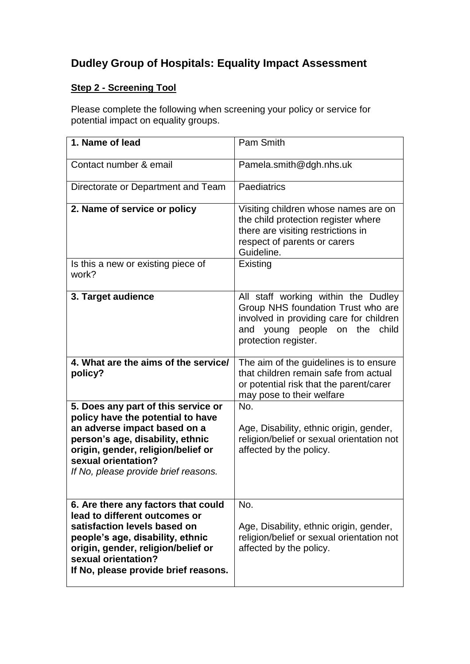# **Dudley Group of Hospitals: Equality Impact Assessment**

## **Step 2 - Screening Tool**

Please complete the following when screening your policy or service for potential impact on equality groups.

| 1. Name of lead                                                                                                                                                                                                                                   | Pam Smith                                                                                                                                                                              |
|---------------------------------------------------------------------------------------------------------------------------------------------------------------------------------------------------------------------------------------------------|----------------------------------------------------------------------------------------------------------------------------------------------------------------------------------------|
| Contact number & email                                                                                                                                                                                                                            | Pamela.smith@dgh.nhs.uk                                                                                                                                                                |
| Directorate or Department and Team                                                                                                                                                                                                                | Paediatrics                                                                                                                                                                            |
| 2. Name of service or policy                                                                                                                                                                                                                      | Visiting children whose names are on<br>the child protection register where<br>there are visiting restrictions in<br>respect of parents or carers<br>Guideline.                        |
| Is this a new or existing piece of<br>work?                                                                                                                                                                                                       | Existing                                                                                                                                                                               |
| 3. Target audience                                                                                                                                                                                                                                | All staff working within the Dudley<br>Group NHS foundation Trust who are<br>involved in providing care for children<br>young people<br>on the<br>and<br>child<br>protection register. |
| 4. What are the aims of the service/<br>policy?                                                                                                                                                                                                   | The aim of the guidelines is to ensure<br>that children remain safe from actual<br>or potential risk that the parent/carer<br>may pose to their welfare                                |
| 5. Does any part of this service or<br>policy have the potential to have<br>an adverse impact based on a<br>person's age, disability, ethnic<br>origin, gender, religion/belief or<br>sexual orientation?<br>If No, please provide brief reasons. | No.<br>Age, Disability, ethnic origin, gender,<br>religion/belief or sexual orientation not<br>affected by the policy.                                                                 |
| 6. Are there any factors that could<br>lead to different outcomes or<br>satisfaction levels based on<br>people's age, disability, ethnic<br>origin, gender, religion/belief or<br>sexual orientation?<br>If No, please provide brief reasons.     | No.<br>Age, Disability, ethnic origin, gender,<br>religion/belief or sexual orientation not<br>affected by the policy.                                                                 |